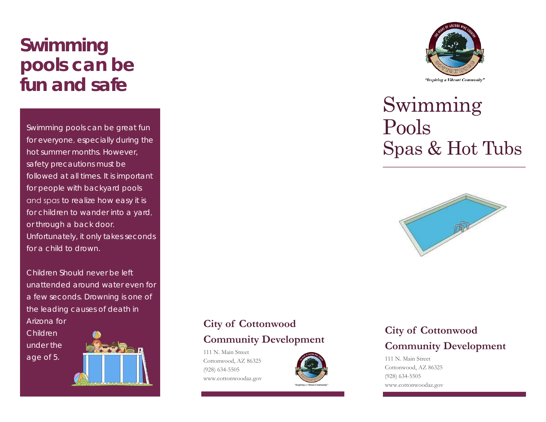# **Swimming pools can be fun and safe**

Swimming pools can be great fun for everyone, especially during the hot summer months. However,safety precautions must be followed at all times. It is important for people with backyard pools and spas to realize how easy it is for children to wander into a yard, or through a back door.Unfortunately, it only takes seconds for a child to drown.

Children Should never be left unattended around water even fora few seconds. Drowning is one ofthe leading causes of death inArizona forChildren under the age of 5.



## **City of Cottonwood Community Development**

111 N. Main Street Cottonwood, AZ 86325 (928) 634-5505 www.cottonwoodaz.gov





# Swimming Pools Spas & Hot Tubs



## **City of Cottonwood Community Development**

111 N. Main Street Cottonwood, AZ 86325 (928) 634-5505 www.cottonwoodaz.gov